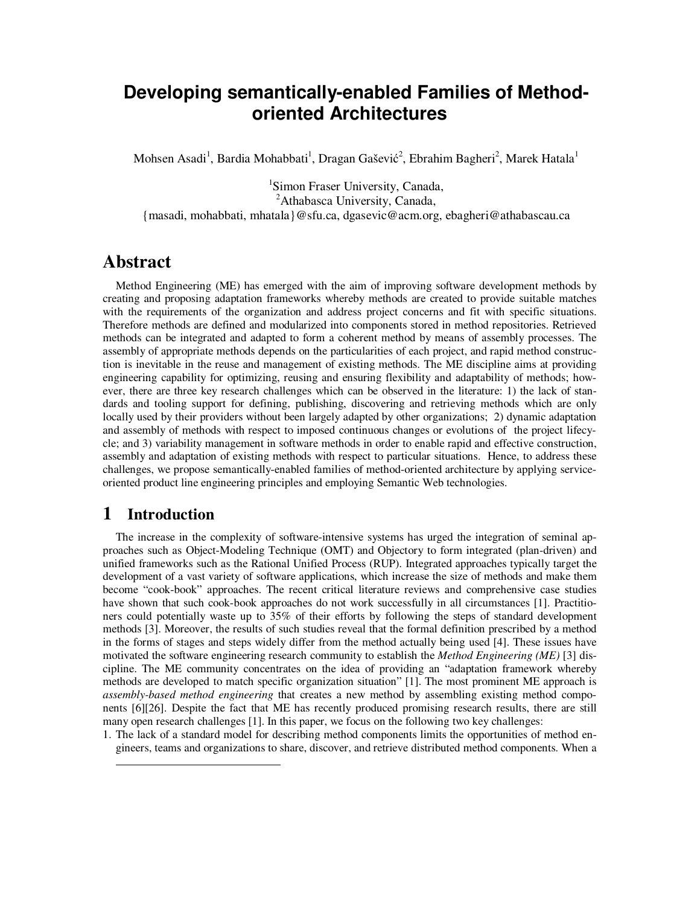# **Developing semantically-enabled Families of Methodoriented Architectures**

Mohsen Asadi<sup>1</sup>, Bardia Mohabbati<sup>1</sup>, Dragan Gašević<sup>2</sup>, Ebrahim Bagheri<sup>2</sup>, Marek Hatala<sup>1</sup>

<sup>1</sup>Simon Fraser University, Canada, <sup>2</sup>Athabasca University, Canada, {masadi, mohabbati, mhatala}@sfu.ca, dgasevic@acm.org, ebagheri@athabascau.ca

## **Abstract**

Method Engineering (ME) has emerged with the aim of improving software development methods by creating and proposing adaptation frameworks whereby methods are created to provide suitable matches with the requirements of the organization and address project concerns and fit with specific situations. Therefore methods are defined and modularized into components stored in method repositories. Retrieved methods can be integrated and adapted to form a coherent method by means of assembly processes. The assembly of appropriate methods depends on the particularities of each project, and rapid method construction is inevitable in the reuse and management of existing methods. The ME discipline aims at providing engineering capability for optimizing, reusing and ensuring flexibility and adaptability of methods; however, there are three key research challenges which can be observed in the literature: 1) the lack of standards and tooling support for defining, publishing, discovering and retrieving methods which are only locally used by their providers without been largely adapted by other organizations; 2) dynamic adaptation and assembly of methods with respect to imposed continuous changes or evolutions of the project lifecycle; and 3) variability management in software methods in order to enable rapid and effective construction, assembly and adaptation of existing methods with respect to particular situations. Hence, to address these challenges, we propose semantically-enabled families of method-oriented architecture by applying serviceoriented product line engineering principles and employing Semantic Web technologies.

## **1 Introduction**

 $\overline{a}$ 

The increase in the complexity of software-intensive systems has urged the integration of seminal approaches such as Object-Modeling Technique (OMT) and Objectory to form integrated (plan-driven) and unified frameworks such as the Rational Unified Process (RUP). Integrated approaches typically target the development of a vast variety of software applications, which increase the size of methods and make them become "cook-book" approaches. The recent critical literature reviews and comprehensive case studies have shown that such cook-book approaches do not work successfully in all circumstances [1]. Practitioners could potentially waste up to 35% of their efforts by following the steps of standard development methods [3]. Moreover, the results of such studies reveal that the formal definition prescribed by a method in the forms of stages and steps widely differ from the method actually being used [4]. These issues have motivated the software engineering research community to establish the *Method Engineering (ME)* [3] discipline. The ME community concentrates on the idea of providing an "adaptation framework whereby methods are developed to match specific organization situation" [1]. The most prominent ME approach is *assembly-based method engineering* that creates a new method by assembling existing method components [6] [26]. Despite the fact that ME has recently produced promising research results, there are still many open research challenges [1]. In this paper, we focus on the following two key challenges:

1. The lack of a standard model for describing method components limits the opportunities of method engineers, teams and organizations to share, discover, and retrieve distributed method components. When a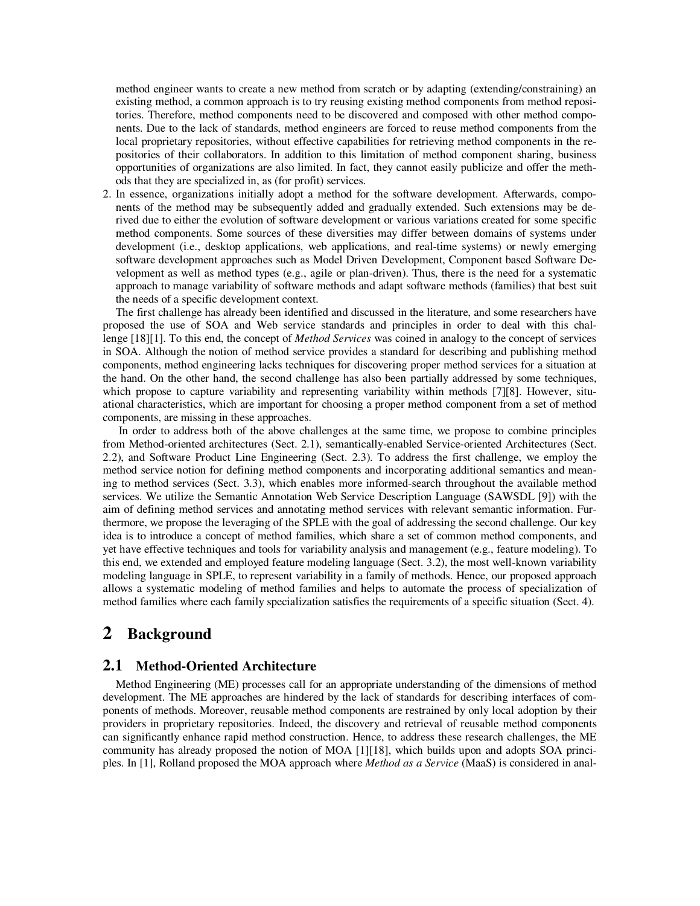method engineer wants to create a new method from scratch or by adapting (extending/constraining) an existing method, a common approach is to try reusing existing method components from method repositories. Therefore, method components need to be discovered and composed with other method components. Due to the lack of standards, method engineers are forced to reuse method components from the local proprietary repositories, without effective capabilities for retrieving method components in the repositories of their collaborators. In addition to this limitation of method component sharing, business opportunities of organizations are also limited. In fact, they cannot easily publicize and offer the methods that they are specialized in, as (for profit) services.

2. In essence, organizations initially adopt a method for the software development. Afterwards, components of the method may be subsequently added and gradually extended. Such extensions may be derived due to either the evolution of software development or various variations created for some specific method components. Some sources of these diversities may differ between domains of systems under development (i.e., desktop applications, web applications, and real-time systems) or newly emerging software development approaches such as Model Driven Development, Component based Software Development as well as method types (e.g., agile or plan-driven). Thus, there is the need for a systematic approach to manage variability of software methods and adapt software methods (families) that best suit the needs of a specific development context.

The first challenge has already been identified and discussed in the literature, and some researchers have proposed the use of SOA and Web service standards and principles in order to deal with this challenge [18] [1]. To this end, the concept of *Method Services* was coined in analogy to the concept of services in SOA. Although the notion of method service provides a standard for describing and publishing method components, method engineering lacks techniques for discovering proper method services for a situation at the hand. On the other hand, the second challenge has also been partially addressed by some techniques, which propose to capture variability and representing variability within methods [7] [8]. However, situational characteristics, which are important for choosing a proper method component from a set of method components, are missing in these approaches.

 In order to address both of the above challenges at the same time, we propose to combine principles from Method-oriented architectures (Sect. 2.1), semantically-enabled Service-oriented Architectures (Sect. 2.2), and Software Product Line Engineering (Sect. 2.3). To address the first challenge, we employ the method service notion for defining method components and incorporating additional semantics and meaning to method services (Sect. 3.3), which enables more informed-search throughout the available method services. We utilize the Semantic Annotation Web Service Description Language (SAWSDL [9]) with the aim of defining method services and annotating method services with relevant semantic information. Furthermore, we propose the leveraging of the SPLE with the goal of addressing the second challenge. Our key idea is to introduce a concept of method families, which share a set of common method components, and yet have effective techniques and tools for variability analysis and management (e.g., feature modeling). To this end, we extended and employed feature modeling language (Sect. 3.2), the most well-known variability modeling language in SPLE, to represent variability in a family of methods. Hence, our proposed approach allows a systematic modeling of method families and helps to automate the process of specialization of method families where each family specialization satisfies the requirements of a specific situation (Sect. 4).

## **2 Background**

## **2.1 Method-Oriented Architecture**

Method Engineering (ME) processes call for an appropriate understanding of the dimensions of method development. The ME approaches are hindered by the lack of standards for describing interfaces of components of methods. Moreover, reusable method components are restrained by only local adoption by their providers in proprietary repositories. Indeed, the discovery and retrieval of reusable method components can significantly enhance rapid method construction. Hence, to address these research challenges, the ME community has already proposed the notion of MOA [1][18], which builds upon and adopts SOA principles. In [1], Rolland proposed the MOA approach where *Method as a Service* (MaaS) is considered in anal-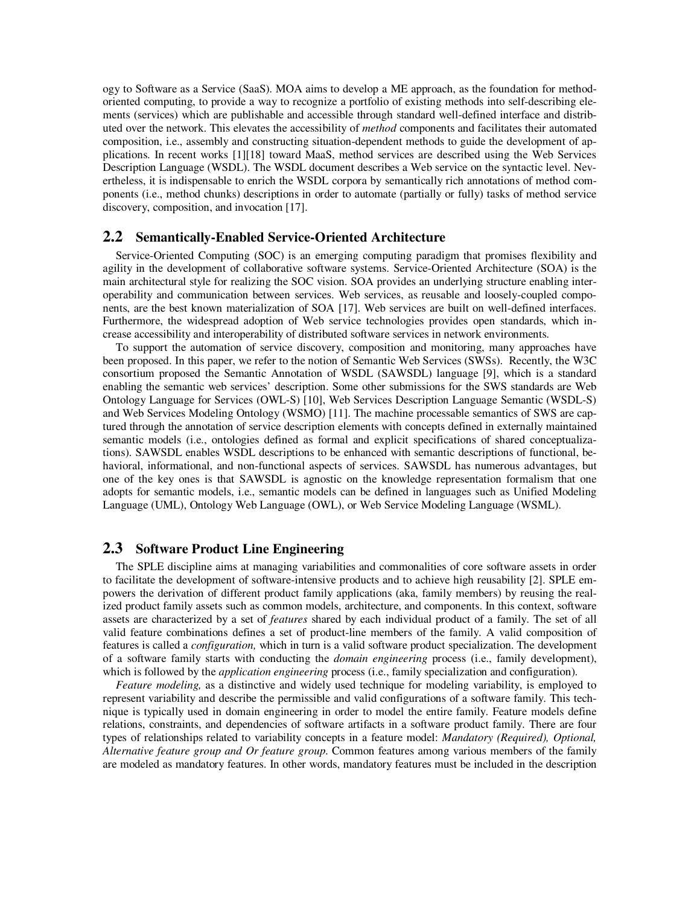ogy to Software as a Service (SaaS). MOA aims to develop a ME approach, as the foundation for methodoriented computing, to provide a way to recognize a portfolio of existing methods into self-describing elements (services) which are publishable and accessible through standard well-defined interface and distributed over the network. This elevates the accessibility of *method* components and facilitates their automated composition, i.e., assembly and constructing situation-dependent methods to guide the development of applications. In recent works [1] [18] toward MaaS, method services are described using the Web Services Description Language (WSDL). The WSDL document describes a Web service on the syntactic level. Nevertheless, it is indispensable to enrich the WSDL corpora by semantically rich annotations of method components (i.e., method chunks) descriptions in order to automate (partially or fully) tasks of method service discovery, composition, and invocation [17].

#### **2.2 Semantically-Enabled Service-Oriented Architecture**

Service-Oriented Computing (SOC) is an emerging computing paradigm that promises flexibility and agility in the development of collaborative software systems. Service-Oriented Architecture (SOA) is the main architectural style for realizing the SOC vision. SOA provides an underlying structure enabling interoperability and communication between services. Web services, as reusable and loosely-coupled components, are the best known materialization of SOA [17]. Web services are built on well-defined interfaces. Furthermore, the widespread adoption of Web service technologies provides open standards, which increase accessibility and interoperability of distributed software services in network environments.

To support the automation of service discovery, composition and monitoring, many approaches have been proposed. In this paper, we refer to the notion of Semantic Web Services (SWSs). Recently, the W3C consortium proposed the Semantic Annotation of WSDL (SAWSDL) language [9], which is a standard enabling the semantic web services' description. Some other submissions for the SWS standards are Web Ontology Language for Services (OWL-S) [10], Web Services Description Language Semantic (WSDL-S) and Web Services Modeling Ontology (WSMO) [11]. The machine processable semantics of SWS are captured through the annotation of service description elements with concepts defined in externally maintained semantic models (i.e., ontologies defined as formal and explicit specifications of shared conceptualizations). SAWSDL enables WSDL descriptions to be enhanced with semantic descriptions of functional, behavioral, informational, and non-functional aspects of services. SAWSDL has numerous advantages, but one of the key ones is that SAWSDL is agnostic on the knowledge representation formalism that one adopts for semantic models, i.e., semantic models can be defined in languages such as Unified Modeling Language (UML), Ontology Web Language (OWL), or Web Service Modeling Language (WSML).

#### **2.3 Software Product Line Engineering**

The SPLE discipline aims at managing variabilities and commonalities of core software assets in order to facilitate the development of software-intensive products and to achieve high reusability [2]. SPLE empowers the derivation of different product family applications (aka, family members) by reusing the realized product family assets such as common models, architecture, and components. In this context, software assets are characterized by a set of *features* shared by each individual product of a family. The set of all valid feature combinations defines a set of product-line members of the family. A valid composition of features is called a *configuration,* which in turn is a valid software product specialization. The development of a software family starts with conducting the *domain engineering* process (i.e., family development), which is followed by the *application engineering* process (i.e., family specialization and configuration).

*Feature modeling,* as a distinctive and widely used technique for modeling variability, is employed to represent variability and describe the permissible and valid configurations of a software family. This technique is typically used in domain engineering in order to model the entire family. Feature models define relations, constraints, and dependencies of software artifacts in a software product family. There are four types of relationships related to variability concepts in a feature model: *Mandatory (Required), Optional, Alternative feature group and Or feature group*. Common features among various members of the family are modeled as mandatory features. In other words, mandatory features must be included in the description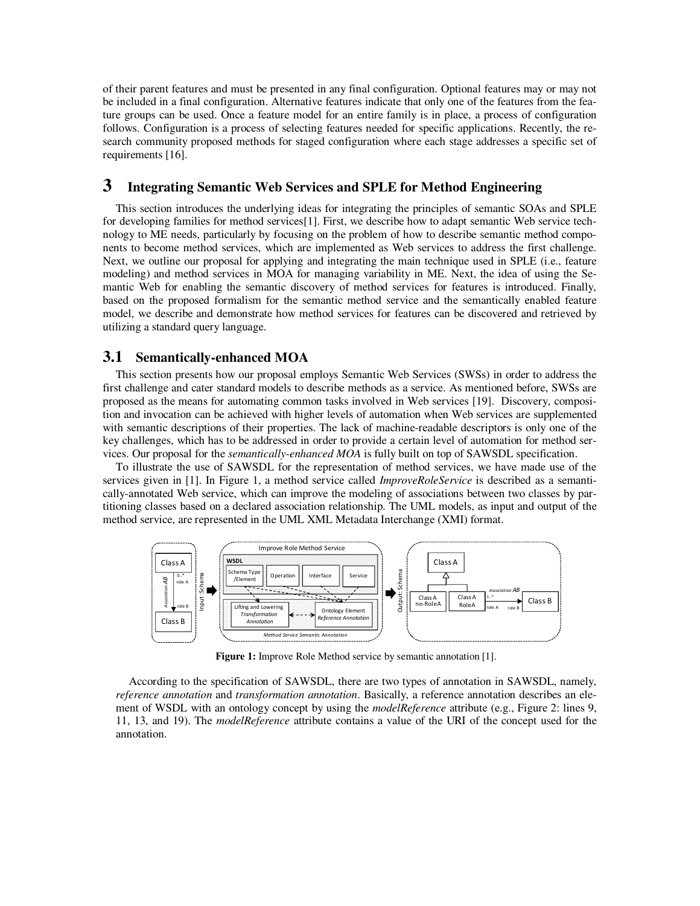of their parent features and must be presented in any final configuration. Optional features may or may not be included in a final configuration. Alternative features indicate that only one of the features from the feature groups can be used. Once a feature model for an entire family is in place, a process of configuration follows. Configuration is a process of selecting features needed for specific applications. Recently, the research community proposed methods for staged configuration where each stage addresses a specific set of requirements [16].

## **3 Integrating Semantic Web Services and SPLE for Method Engineering**

This section introduces the underlying ideas for integrating the principles of semantic SOAs and SPLE for developing families for method services [1]. First, we describe how to adapt semantic Web service technology to ME needs, particularly by focusing on the problem of how to describe semantic method components to become method services, which are implemented as Web services to address the first challenge. Next, we outline our proposal for applying and integrating the main technique used in SPLE (i.e., feature modeling) and method services in MOA for managing variability in ME. Next, the idea of using the Semantic Web for enabling the semantic discovery of method services for features is introduced. Finally, based on the proposed formalism for the semantic method service and the semantically enabled feature model, we describe and demonstrate how method services for features can be discovered and retrieved by utilizing a standard query language.

## **3.1 Semantically-enhanced MOA**

This section presents how our proposal employs Semantic Web Services (SWSs) in order to address the first challenge and cater standard models to describe methods as a service. As mentioned before, SWSs are proposed as the means for automating common tasks involved in Web services [19]. Discovery, composition and invocation can be achieved with higher levels of automation when Web services are supplemented with semantic descriptions of their properties. The lack of machine-readable descriptors is only one of the key challenges, which has to be addressed in order to provide a certain level of automation for method services. Our proposal for the *semantically-enhanced MOA* is fully built on top of SAWSDL specification.

To illustrate the use of SAWSDL for the representation of method services, we have made use of the services given in [1]. In Figure 1, a method service called *ImproveRoleService* is described as a semantically-annotated Web service, which can improve the modeling of associations between two classes by partitioning classes based on a declared association relationship. The UML models, as input and output of the method service, are represented in the UML XML Metadata Interchange (XMI) format.



**Figure 1:** Improve Role Method service by semantic annotation [1].

According to the specification of SAWSDL, there are two types of annotation in SAWSDL, namely, *reference annotation* and *transformation annotation*. Basically, a reference annotation describes an element of WSDL with an ontology concept by using the *modelReference* attribute (e.g., Figure 2: lines 9, 11, 13, and 19). The *modelReference* attribute contains a value of the URI of the concept used for the annotation.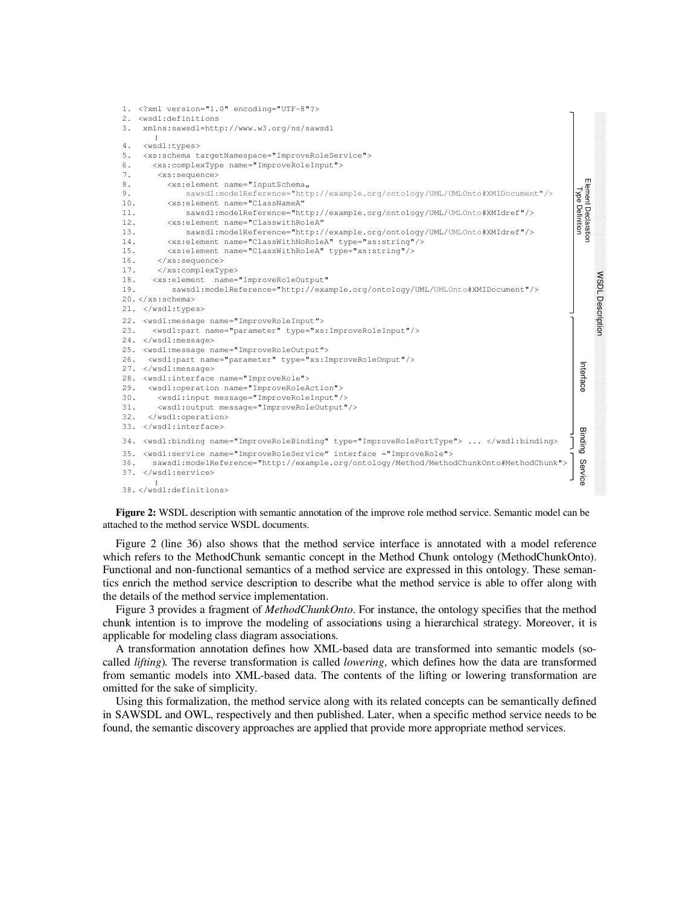

**Figure 2:** WSDL description with semantic annotation of the improve role method service. Semantic model can be attached to the method service WSDL documents.

Figure 2 (line 36) also shows that the method service interface is annotated with a model reference which refers to the MethodChunk semantic concept in the Method Chunk ontology (MethodChunkOnto). Functional and non-functional semantics of a method service are expressed in this ontology. These semantics enrich the method service description to describe what the method service is able to offer along with the details of the method service implementation.

Figure 3 provides a fragment of *MethodChunkOnto*. For instance, the ontology specifies that the method chunk intention is to improve the modeling of associations using a hierarchical strategy. Moreover, it is applicable for modeling class diagram associations.

A transformation annotation defines how XML-based data are transformed into semantic models (socalled *lifting*)*.* The reverse transformation is called *lowering*, which defines how the data are transformed from semantic models into XML-based data. The contents of the lifting or lowering transformation are omitted for the sake of simplicity.

Using this formalization, the method service along with its related concepts can be semantically defined in SAWSDL and OWL, respectively and then published. Later, when a specific method service needs to be found, the semantic discovery approaches are applied that provide more appropriate method services.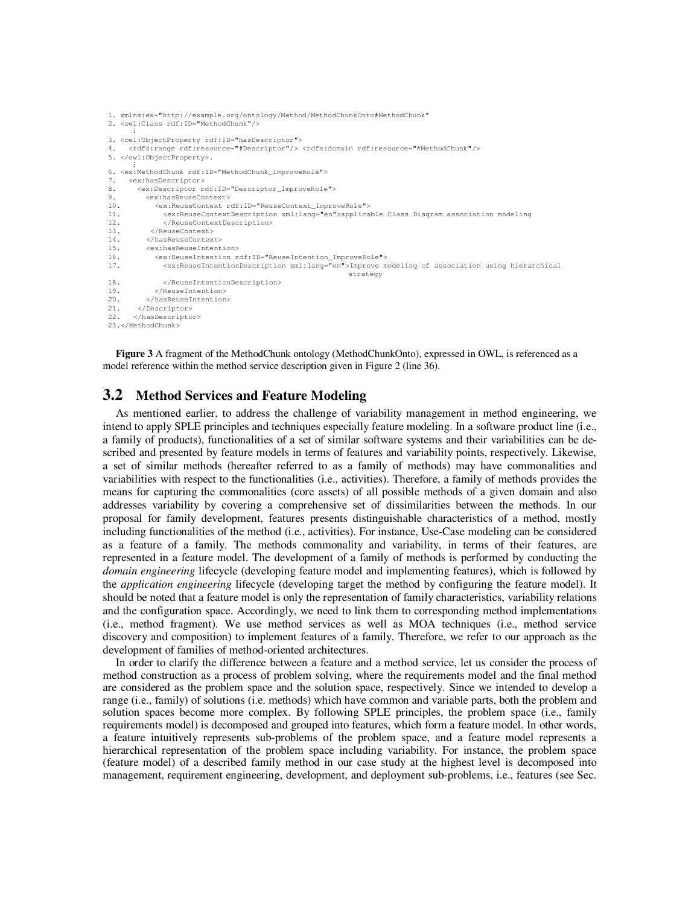```
1. xmlns:ex="http://example.org/ontology/Method/MethodChunkOnto#MethodChunk"
2. <owl:Class rdf:ID="MethodChunk"/>
...
3. <owl:ObjectProperty rdf:ID="hasDescriptor">
4. <rdfs:range rdf:resource="#Descriptor"/> <rdfs:domain rdf:resource="#MethodChunk"/>
5. </owl:ObjectProperty>.<br>:
6. <ex:MethodChunk rdf:ID="MethodChunk_ImproveRole">
7. <ex:hasDescriptor>
8. <ex:Descriptor rdf:ID="Descriptor_ImproveRole">
9. <ex:hasReuseContext><br>10. <ex:ReuseContext r
10. \langle ex:ReuseContext\ rdf:ID="ReuseContextImproveRole" > 11. \langle ex:ReuseContextDescription\ xml:lang="en" > applica11. <ex:ReuseContextDescription xml:lang="en">applicable Class Diagram association modeling 
12. </ReuseContextDescription>
           13. </ReuseContext>
14. </hasReuseContext>
15. \langle ex:hasReuseIntention><br>16. \langle ex:ReuseIntention r16. <ex:ReuseIntention rdf:ID="ReuseIntention_ImproveRole"><br>17. <ex:ReuseIntentionDescription xml:lang="en">Improve m
               17. <ex:ReuseIntentionDescription xml:lang="en">Improve modeling of association using hierarchical
                                                                strategy
18. </ReuseIntentionDescription>
19. </ReuseIntention>
20. </hasReuseIntention>
21. </Descriptor>
22. </hasDescriptor>
23.</MethodChunk>
```
**Figure 3** A fragment of the MethodChunk ontology (MethodChunkOnto), expressed in OWL, is referenced as a model reference within the method service description given in Figure 2 (line 36).

## **3.2 Method Services and Feature Modeling**

As mentioned earlier, to address the challenge of variability management in method engineering, we intend to apply SPLE principles and techniques especially feature modeling. In a software product line (i.e., a family of products), functionalities of a set of similar software systems and their variabilities can be described and presented by feature models in terms of features and variability points, respectively. Likewise, a set of similar methods (hereafter referred to as a family of methods) may have commonalities and variabilities with respect to the functionalities (i.e., activities). Therefore, a family of methods provides the means for capturing the commonalities (core assets) of all possible methods of a given domain and also addresses variability by covering a comprehensive set of dissimilarities between the methods. In our proposal for family development, features presents distinguishable characteristics of a method, mostly including functionalities of the method (i.e., activities). For instance, Use-Case modeling can be considered as a feature of a family. The methods commonality and variability, in terms of their features, are represented in a feature model. The development of a family of methods is performed by conducting the *domain engineering* lifecycle (developing feature model and implementing features), which is followed by the *application engineering* lifecycle (developing target the method by configuring the feature model). It should be noted that a feature model is only the representation of family characteristics, variability relations and the configuration space. Accordingly, we need to link them to corresponding method implementations (i.e., method fragment). We use method services as well as MOA techniques (i.e., method service discovery and composition) to implement features of a family. Therefore, we refer to our approach as the development of families of method-oriented architectures.

In order to clarify the difference between a feature and a method service, let us consider the process of method construction as a process of problem solving, where the requirements model and the final method are considered as the problem space and the solution space, respectively. Since we intended to develop a range (i.e., family) of solutions (i.e. methods) which have common and variable parts, both the problem and solution spaces become more complex. By following SPLE principles, the problem space (i.e., family requirements model) is decomposed and grouped into features, which form a feature model. In other words, a feature intuitively represents sub-problems of the problem space, and a feature model represents a hierarchical representation of the problem space including variability. For instance, the problem space (feature model) of a described family method in our case study at the highest level is decomposed into management, requirement engineering, development, and deployment sub-problems, i.e., features (see Sec.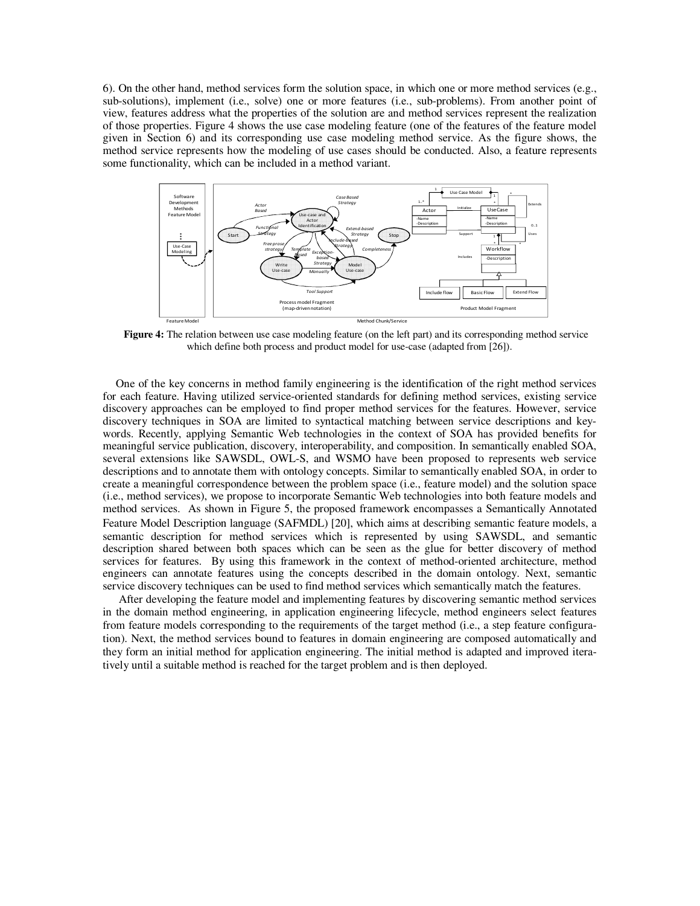6). On the other hand, method services form the solution space, in which one or more method services (e.g., sub-solutions), implement (i.e., solve) one or more features (i.e., sub-problems). From another point of view, features address what the properties of the solution are and method services represent the realization of those properties. Figure 4 shows the use case modeling feature (one of the features of the feature model given in Section 6) and its corresponding use case modeling method service. As the figure shows, the method service represents how the modeling of use cases should be conducted. Also, a feature represents some functionality, which can be included in a method variant.



**Figure 4:** The relation between use case modeling feature (on the left part) and its corresponding method service which define both process and product model for use-case (adapted from [26]).

One of the key concerns in method family engineering is the identification of the right method services for each feature. Having utilized service-oriented standards for defining method services, existing service discovery approaches can be employed to find proper method services for the features. However, service discovery techniques in SOA are limited to syntactical matching between service descriptions and keywords. Recently, applying Semantic Web technologies in the context of SOA has provided benefits for meaningful service publication, discovery, interoperability, and composition. In semantically enabled SOA, several extensions like SAWSDL, OWL-S, and WSMO have been proposed to represents web service descriptions and to annotate them with ontology concepts. Similar to semantically enabled SOA, in order to create a meaningful correspondence between the problem space (i.e., feature model) and the solution space (i.e., method services), we propose to incorporate Semantic Web technologies into both feature models and method services. As shown in Figure 5, the proposed framework encompasses a Semantically Annotated Feature Model Description language (SAFMDL) [20], which aims at describing semantic feature models, a semantic description for method services which is represented by using SAWSDL, and semantic description shared between both spaces which can be seen as the glue for better discovery of method services for features. By using this framework in the context of method-oriented architecture, method engineers can annotate features using the concepts described in the domain ontology. Next, semantic service discovery techniques can be used to find method services which semantically match the features.

 After developing the feature model and implementing features by discovering semantic method services in the domain method engineering, in application engineering lifecycle, method engineers select features from feature models corresponding to the requirements of the target method (i.e., a step feature configuration). Next, the method services bound to features in domain engineering are composed automatically and they form an initial method for application engineering. The initial method is adapted and improved iteratively until a suitable method is reached for the target problem and is then deployed.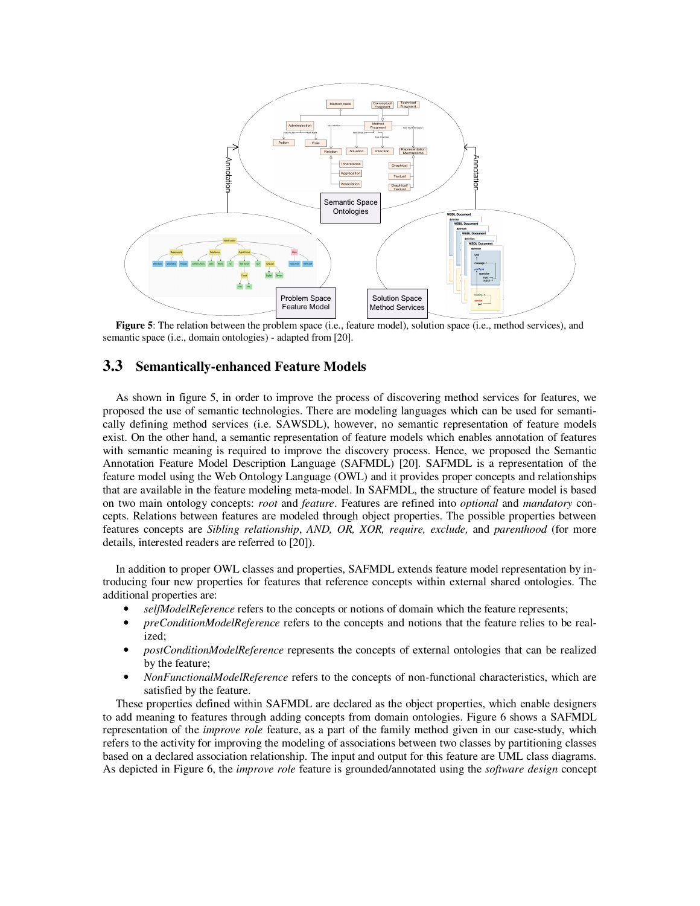

**Figure 5**: The relation between the problem space (i.e., feature model), solution space (i.e., method services), and semantic space (i.e., domain ontologies) - adapted from [20].

### **3.3 Semantically-enhanced Feature Models**

As shown in figure 5, in order to improve the process of discovering method services for features, we proposed the use of semantic technologies. There are modeling languages which can be used for semantically defining method services (i.e. SAWSDL), however, no semantic representation of feature models exist. On the other hand, a semantic representation of feature models which enables annotation of features with semantic meaning is required to improve the discovery process. Hence, we proposed the Semantic Annotation Feature Model Description Language (SAFMDL) [20]. SAFMDL is a representation of the feature model using the Web Ontology Language (OWL) and it provides proper concepts and relationships that are available in the feature modeling meta-model. In SAFMDL, the structure of feature model is based on two main ontology concepts: *root* and *feature*. Features are refined into *optional* and *mandatory* concepts. Relations between features are modeled through object properties. The possible properties between features concepts are *Sibling relationship*, *AND, OR, XOR, require, exclude,* and *parenthood* (for more details, interested readers are referred to [20]).

In addition to proper OWL classes and properties, SAFMDL extends feature model representation by introducing four new properties for features that reference concepts within external shared ontologies. The additional properties are:

- *selfModelReference* refers to the concepts or notions of domain which the feature represents;
- *preConditionModelReference* refers to the concepts and notions that the feature relies to be realized;
- *postConditionModelReference* represents the concepts of external ontologies that can be realized by the feature;
- *NonFunctionalModelReference* refers to the concepts of non-functional characteristics, which are satisfied by the feature.

These properties defined within SAFMDL are declared as the object properties, which enable designers to add meaning to features through adding concepts from domain ontologies. Figure 6 shows a SAFMDL representation of the *improve role* feature, as a part of the family method given in our case-study, which refers to the activity for improving the modeling of associations between two classes by partitioning classes based on a declared association relationship. The input and output for this feature are UML class diagrams. As depicted in Figure 6, the *improve role* feature is grounded/annotated using the *software design* concept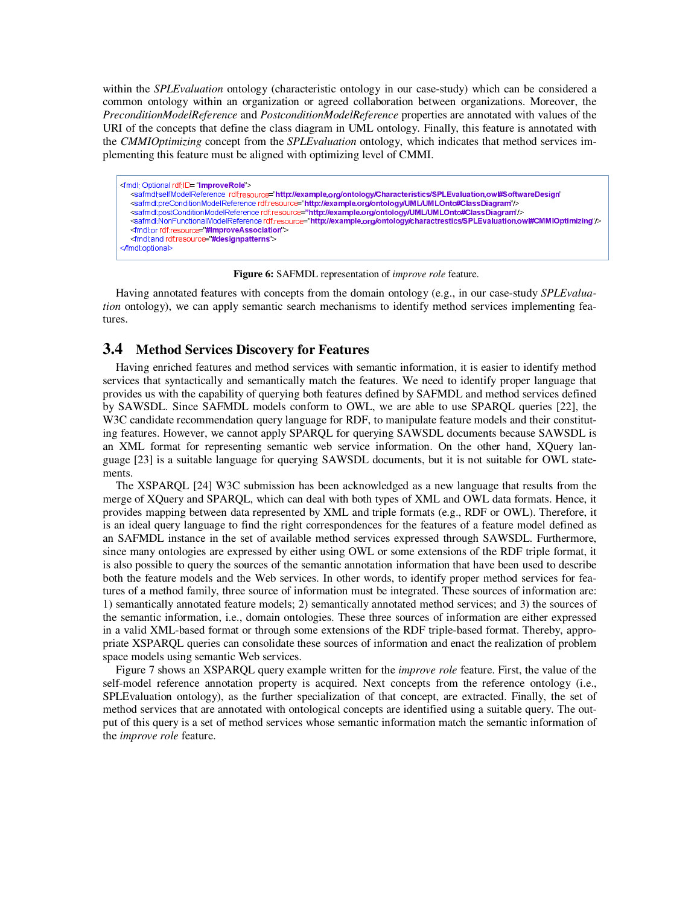within the *SPLEvaluation* ontology (characteristic ontology in our case-study) which can be considered a common ontology within an organization or agreed collaboration between organizations. Moreover, the *PreconditionModelReference* and *PostconditionModelReference* properties are annotated with values of the URI of the concepts that define the class diagram in UML ontology. Finally, this feature is annotated with the *CMMIOptimizing* concept from the *SPLEvaluation* ontology, which indicates that method services implementing this feature must be aligned with optimizing level of CMMI.

<fmdl: Optional rdf:ID= "ImproveRole"> <safmdlselfModelReference\_rdfresource="http://example.org/ontology/Characteristics/SPLEvaluation.ow#SoftwareDesign <safmdl:preConditionModelReference rdf:resource="http://example.org/ontology/UML/UMLOnto#ClassDiagram"/> </safmdl:postConditionModelReference rdf:resource="http://example.org/ontology/UML/UMLOnto#ClassDiagram"/> <safmdl:NonFunctionalModelReference rdf:resource="http://example.org/ontology/charactrestics/SPLEvaluation.ow#CMMIOptimizing"/> <fmdl:or rdf:resource="#ImproveAssociation"> <fmdl:and rdf:resource="#designpatterns"> </fmdl:optional>

**Figure 6:** SAFMDL representation of *improve role* feature.

Having annotated features with concepts from the domain ontology (e.g., in our case-study *SPLEvaluation* ontology), we can apply semantic search mechanisms to identify method services implementing features.

### **3.4 Method Services Discovery for Features**

Having enriched features and method services with semantic information, it is easier to identify method services that syntactically and semantically match the features. We need to identify proper language that provides us with the capability of querying both features defined by SAFMDL and method services defined by SAWSDL. Since SAFMDL models conform to OWL, we are able to use SPARQL queries [22], the W3C candidate recommendation query language for RDF, to manipulate feature models and their constituting features. However, we cannot apply SPARQL for querying SAWSDL documents because SAWSDL is an XML format for representing semantic web service information. On the other hand, XQuery language [23] is a suitable language for querying SAWSDL documents, but it is not suitable for OWL statements.

The XSPARQL [24] W3C submission has been acknowledged as a new language that results from the merge of XQuery and SPARQL, which can deal with both types of XML and OWL data formats. Hence, it provides mapping between data represented by XML and triple formats (e.g., RDF or OWL). Therefore, it is an ideal query language to find the right correspondences for the features of a feature model defined as an SAFMDL instance in the set of available method services expressed through SAWSDL. Furthermore, since many ontologies are expressed by either using OWL or some extensions of the RDF triple format, it is also possible to query the sources of the semantic annotation information that have been used to describe both the feature models and the Web services. In other words, to identify proper method services for features of a method family, three source of information must be integrated. These sources of information are: 1) semantically annotated feature models; 2) semantically annotated method services; and 3) the sources of the semantic information, i.e., domain ontologies. These three sources of information are either expressed in a valid XML-based format or through some extensions of the RDF triple-based format. Thereby, appropriate XSPARQL queries can consolidate these sources of information and enact the realization of problem space models using semantic Web services.

Figure 7 shows an XSPARQL query example written for the *improve role* feature. First, the value of the self-model reference annotation property is acquired. Next concepts from the reference ontology (i.e., SPLEvaluation ontology), as the further specialization of that concept, are extracted. Finally, the set of method services that are annotated with ontological concepts are identified using a suitable query. The output of this query is a set of method services whose semantic information match the semantic information of the *improve role* feature.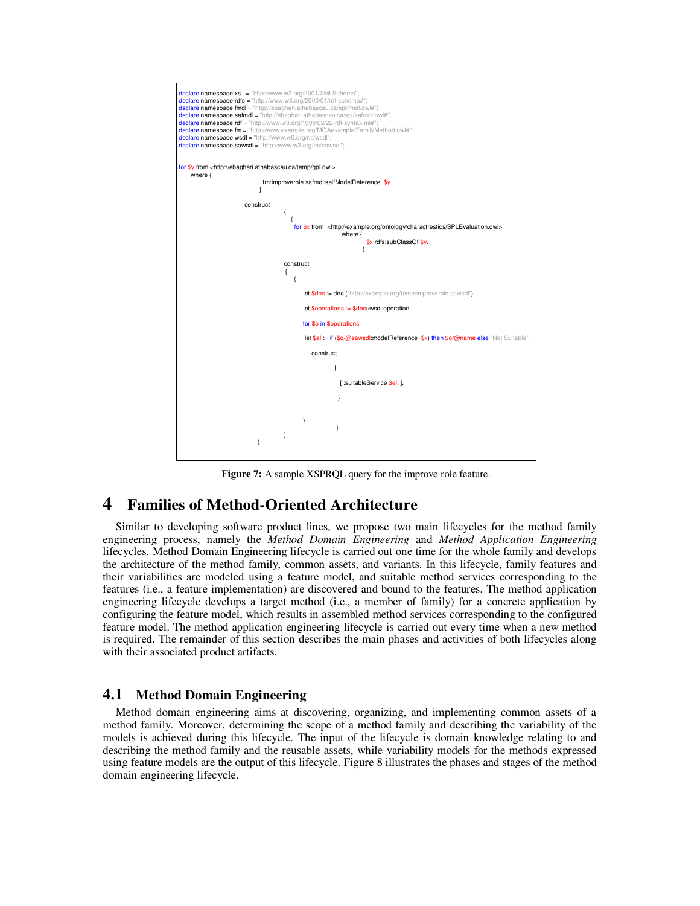

**Figure 7:** A sample XSPRQL query for the improve role feature.

## **4 Families of Method-Oriented Architecture**

Similar to developing software product lines, we propose two main lifecycles for the method family engineering process, namely the *Method Domain Engineering* and *Method Application Engineering* lifecycles. Method Domain Engineering lifecycle is carried out one time for the whole family and develops the architecture of the method family, common assets, and variants. In this lifecycle, family features and their variabilities are modeled using a feature model, and suitable method services corresponding to the features (i.e., a feature implementation) are discovered and bound to the features. The method application engineering lifecycle develops a target method (i.e., a member of family) for a concrete application by configuring the feature model, which results in assembled method services corresponding to the configured feature model. The method application engineering lifecycle is carried out every time when a new method is required. The remainder of this section describes the main phases and activities of both lifecycles along with their associated product artifacts.

#### **4.1 Method Domain Engineering**

Method domain engineering aims at discovering, organizing, and implementing common assets of a method family. Moreover, determining the scope of a method family and describing the variability of the models is achieved during this lifecycle. The input of the lifecycle is domain knowledge relating to and describing the method family and the reusable assets, while variability models for the methods expressed using feature models are the output of this lifecycle. Figure 8 illustrates the phases and stages of the method domain engineering lifecycle.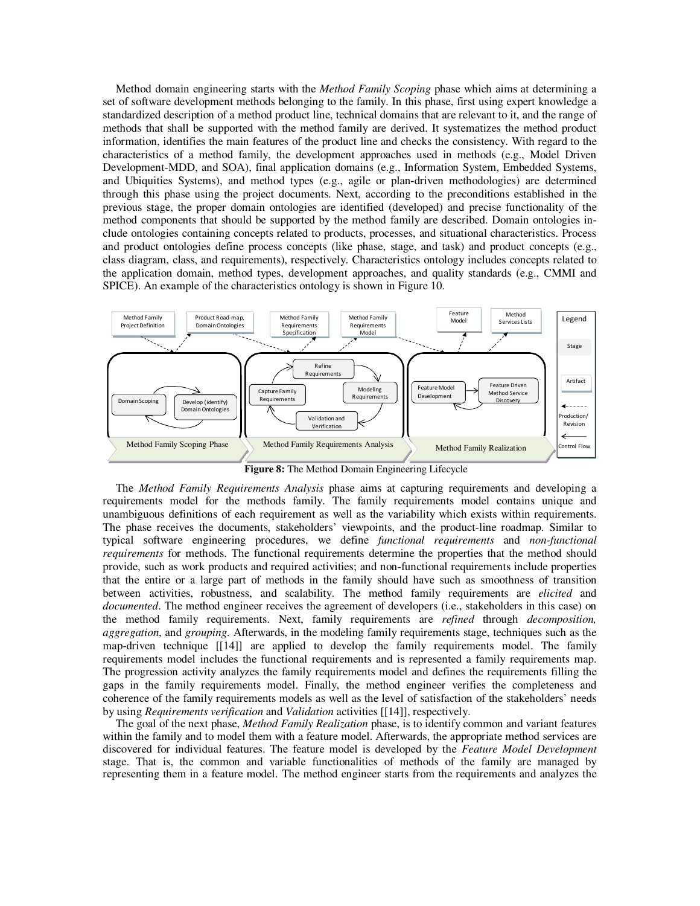Method domain engineering starts with the *Method Family Scoping* phase which aims at determining a set of software development methods belonging to the family. In this phase, first using expert knowledge a standardized description of a method product line, technical domains that are relevant to it, and the range of methods that shall be supported with the method family are derived. It systematizes the method product information, identifies the main features of the product line and checks the consistency. With regard to the characteristics of a method family, the development approaches used in methods (e.g., Model Driven Development-MDD, and SOA), final application domains (e.g., Information System, Embedded Systems, and Ubiquities Systems), and method types (e.g., agile or plan-driven methodologies) are determined through this phase using the project documents. Next, according to the preconditions established in the previous stage, the proper domain ontologies are identified (developed) and precise functionality of the method components that should be supported by the method family are described. Domain ontologies include ontologies containing concepts related to products, processes, and situational characteristics. Process and product ontologies define process concepts (like phase, stage, and task) and product concepts (e.g., class diagram, class, and requirements), respectively. Characteristics ontology includes concepts related to the application domain, method types, development approaches, and quality standards (e.g., CMMI and SPICE). An example of the characteristics ontology is shown in Figure 10.



**Figure 8:** The Method Domain Engineering Lifecycle

The *Method Family Requirements Analysis* phase aims at capturing requirements and developing a requirements model for the methods family. The family requirements model contains unique and unambiguous definitions of each requirement as well as the variability which exists within requirements. The phase receives the documents, stakeholders' viewpoints, and the product-line roadmap. Similar to typical software engineering procedures, we define *functional requirements* and *non-functional requirements* for methods. The functional requirements determine the properties that the method should provide, such as work products and required activities; and non-functional requirements include properties that the entire or a large part of methods in the family should have such as smoothness of transition between activities, robustness, and scalability. The method family requirements are *elicited* and *documented*. The method engineer receives the agreement of developers (i.e., stakeholders in this case) on the method family requirements. Next, family requirements are *refined* through *decomposition, aggregation*, and *grouping*. Afterwards, in the modeling family requirements stage, techniques such as the map-driven technique [[14]] are applied to develop the family requirements model. The family requirements model includes the functional requirements and is represented a family requirements map. The progression activity analyzes the family requirements model and defines the requirements filling the gaps in the family requirements model. Finally, the method engineer verifies the completeness and coherence of the family requirements models as well as the level of satisfaction of the stakeholders' needs by using *Requirements verification* and *Validation* activities [ [14]], respectively.

The goal of the next phase, *Method Family Realization* phase, is to identify common and variant features within the family and to model them with a feature model. Afterwards, the appropriate method services are discovered for individual features. The feature model is developed by the *Feature Model Development* stage. That is, the common and variable functionalities of methods of the family are managed by representing them in a feature model. The method engineer starts from the requirements and analyzes the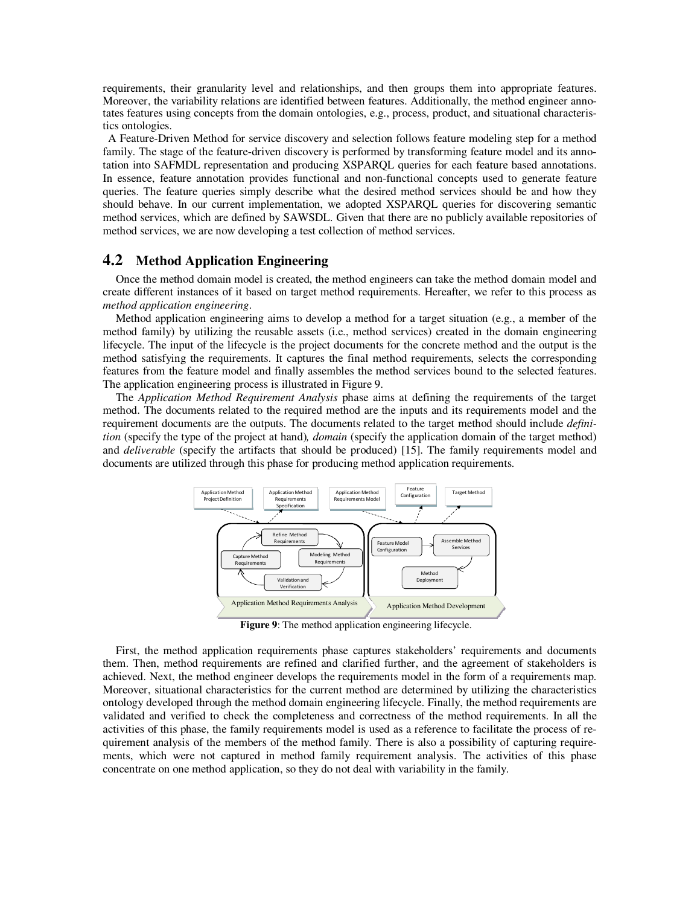requirements, their granularity level and relationships, and then groups them into appropriate features. Moreover, the variability relations are identified between features. Additionally, the method engineer annotates features using concepts from the domain ontologies, e.g., process, product, and situational characteristics ontologies.

A Feature-Driven Method for service discovery and selection follows feature modeling step for a method family. The stage of the feature-driven discovery is performed by transforming feature model and its annotation into SAFMDL representation and producing XSPARQL queries for each feature based annotations. In essence, feature annotation provides functional and non-functional concepts used to generate feature queries. The feature queries simply describe what the desired method services should be and how they should behave. In our current implementation, we adopted XSPARQL queries for discovering semantic method services, which are defined by SAWSDL. Given that there are no publicly available repositories of method services, we are now developing a test collection of method services.

#### **4.2 Method Application Engineering**

Once the method domain model is created, the method engineers can take the method domain model and create different instances of it based on target method requirements. Hereafter, we refer to this process as *method application engineering*.

Method application engineering aims to develop a method for a target situation (e.g., a member of the method family) by utilizing the reusable assets (i.e., method services) created in the domain engineering lifecycle. The input of the lifecycle is the project documents for the concrete method and the output is the method satisfying the requirements. It captures the final method requirements, selects the corresponding features from the feature model and finally assembles the method services bound to the selected features. The application engineering process is illustrated in Figure 9.

The *Application Method Requirement Analysis* phase aims at defining the requirements of the target method. The documents related to the required method are the inputs and its requirements model and the requirement documents are the outputs. The documents related to the target method should include *definition* (specify the type of the project at hand)*, domain* (specify the application domain of the target method) and *deliverable* (specify the artifacts that should be produced) [15]. The family requirements model and documents are utilized through this phase for producing method application requirements.



**Figure 9**: The method application engineering lifecycle.

First, the method application requirements phase captures stakeholders' requirements and documents them. Then, method requirements are refined and clarified further, and the agreement of stakeholders is achieved. Next, the method engineer develops the requirements model in the form of a requirements map. Moreover, situational characteristics for the current method are determined by utilizing the characteristics ontology developed through the method domain engineering lifecycle. Finally, the method requirements are validated and verified to check the completeness and correctness of the method requirements. In all the activities of this phase, the family requirements model is used as a reference to facilitate the process of requirement analysis of the members of the method family. There is also a possibility of capturing requirements, which were not captured in method family requirement analysis. The activities of this phase concentrate on one method application, so they do not deal with variability in the family.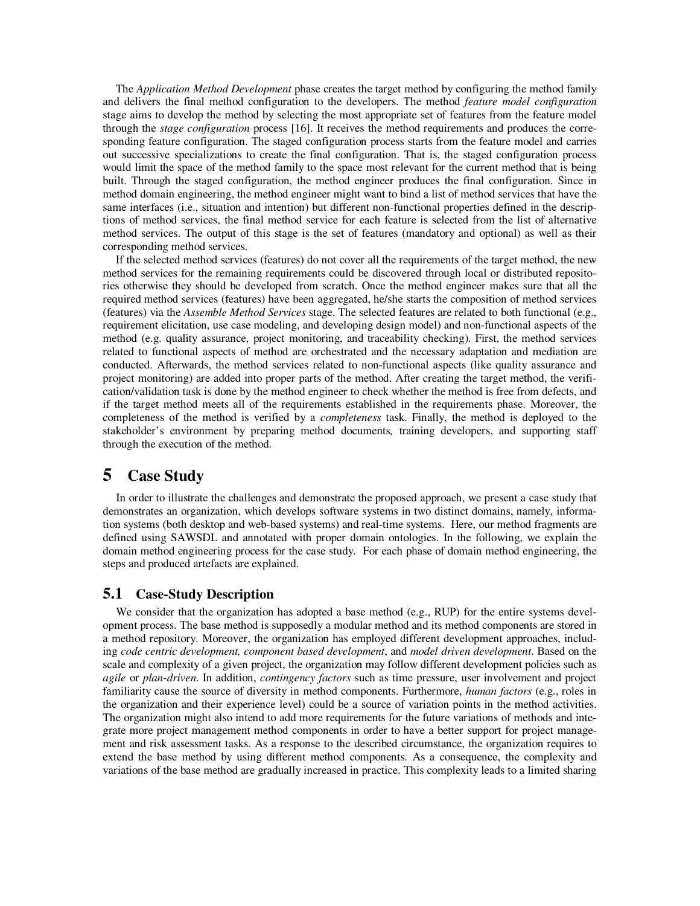The *Application Method Development* phase creates the target method by configuring the method family and delivers the final method configuration to the developers. The method *feature model configuration* stage aims to develop the method by selecting the most appropriate set of features from the feature model through the *stage configuration* process [16]. It receives the method requirements and produces the corresponding feature configuration. The staged configuration process starts from the feature model and carries out successive specializations to create the final configuration. That is, the staged configuration process would limit the space of the method family to the space most relevant for the current method that is being built. Through the staged configuration, the method engineer produces the final configuration. Since in method domain engineering, the method engineer might want to bind a list of method services that have the same interfaces (i.e., situation and intention) but different non-functional properties defined in the descriptions of method services, the final method service for each feature is selected from the list of alternative method services. The output of this stage is the set of features (mandatory and optional) as well as their corresponding method services.

If the selected method services (features) do not cover all the requirements of the target method, the new method services for the remaining requirements could be discovered through local or distributed repositories otherwise they should be developed from scratch. Once the method engineer makes sure that all the required method services (features) have been aggregated, he/she starts the composition of method services (features) via the *Assemble Method Services* stage. The selected features are related to both functional (e.g., requirement elicitation, use case modeling, and developing design model) and non-functional aspects of the method (e.g. quality assurance, project monitoring, and traceability checking). First, the method services related to functional aspects of method are orchestrated and the necessary adaptation and mediation are conducted. Afterwards, the method services related to non-functional aspects (like quality assurance and project monitoring) are added into proper parts of the method. After creating the target method, the verification/validation task is done by the method engineer to check whether the method is free from defects, and if the target method meets all of the requirements established in the requirements phase. Moreover, the completeness of the method is verified by a *completeness* task. Finally, the method is deployed to the stakeholder's environment by preparing method documents*,* training developers, and supporting staff through the execution of the method.

## **5 Case Study**

In order to illustrate the challenges and demonstrate the proposed approach, we present a case study that demonstrates an organization, which develops software systems in two distinct domains, namely, information systems (both desktop and web-based systems) and real-time systems. Here, our method fragments are defined using SAWSDL and annotated with proper domain ontologies. In the following, we explain the domain method engineering process for the case study. For each phase of domain method engineering, the steps and produced artefacts are explained.

## **5.1 Case-Study Description**

We consider that the organization has adopted a base method (e.g., RUP) for the entire systems development process. The base method is supposedly a modular method and its method components are stored in a method repository. Moreover, the organization has employed different development approaches, including *code centric development, component based development*, and *model driven development*. Based on the scale and complexity of a given project, the organization may follow different development policies such as *agile* or *plan-driven*. In addition, *contingency factors* such as time pressure, user involvement and project familiarity cause the source of diversity in method components. Furthermore, *human factors* (e.g., roles in the organization and their experience level) could be a source of variation points in the method activities. The organization might also intend to add more requirements for the future variations of methods and integrate more project management method components in order to have a better support for project management and risk assessment tasks. As a response to the described circumstance, the organization requires to extend the base method by using different method components. As a consequence, the complexity and variations of the base method are gradually increased in practice. This complexity leads to a limited sharing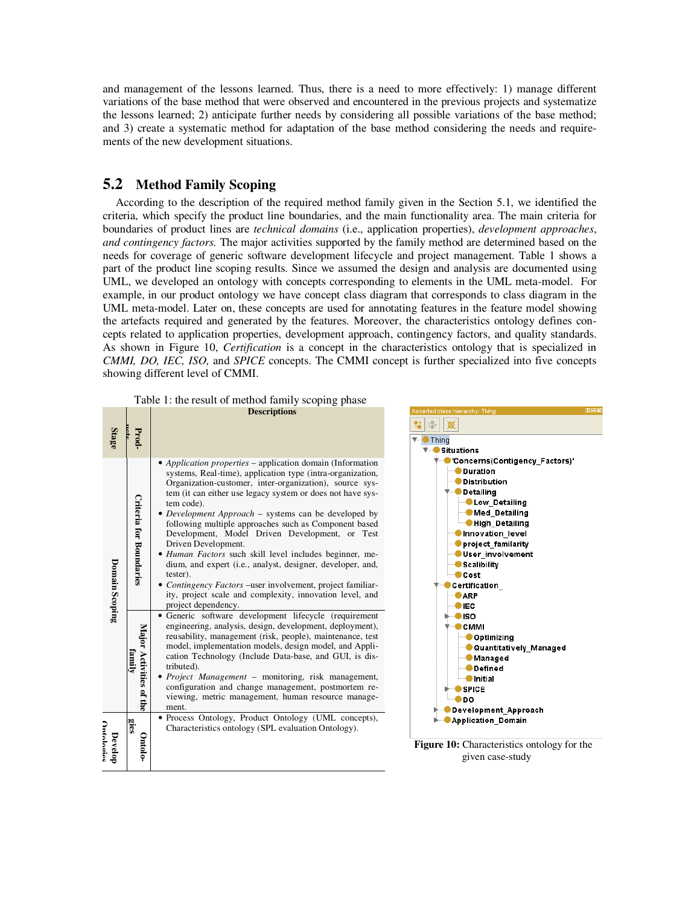and management of the lessons learned. Thus, there is a need to more effectively: 1) manage different variations of the base method that were observed and encountered in the previous projects and systematize the lessons learned; 2) anticipate further needs by considering all possible variations of the base method; and 3) create a systematic method for adaptation of the base method considering the needs and requirements of the new development situations.

## **5.2 Method Family Scoping**

**Contract Contract** 

According to the description of the required method family given in the Section 5.1, we identified the criteria, which specify the product line boundaries, and the main functionality area. The main criteria for boundaries of product lines are *technical domains* (i.e., application properties), *development approaches*, *and contingency factors.* The major activities supported by the family method are determined based on the needs for coverage of generic software development lifecycle and project management. Table 1 shows a part of the product line scoping results. Since we assumed the design and analysis are documented using UML, we developed an ontology with concepts corresponding to elements in the UML meta-model. For example, in our product ontology we have concept class diagram that corresponds to class diagram in the UML meta-model. Later on, these concepts are used for annotating features in the feature model showing the artefacts required and generated by the features. Moreover, the characteristics ontology defines concepts related to application properties, development approach, contingency factors, and quality standards. As shown in Figure 10, *Certification* is a concept in the characteristics ontology that is specialized in *CMMI, DO, IEC, ISO,* and *SPICE* concepts. The CMMI concept is further specialized into five concepts showing different level of CMMI.

Table 1: the result of method family scoping phase

|                       |                                | <b>Descriptions</b>                                                                                         | Asserted class hierarchy: |
|-----------------------|--------------------------------|-------------------------------------------------------------------------------------------------------------|---------------------------|
|                       |                                |                                                                                                             |                           |
| Stage                 | Prod-                          |                                                                                                             | Thing                     |
|                       |                                |                                                                                                             | <b>Situations</b>         |
| Domain Scoping        |                                | Application properties – application domain (Information                                                    | 'Concer                   |
|                       |                                | systems, Real-time), application type (intra-organization,                                                  | Dura                      |
|                       |                                | Organization-customer, inter-organization), source sys-                                                     | Distr                     |
|                       |                                | tem (it can either use legacy system or does not have sys-                                                  | Deta                      |
|                       |                                | tem code).                                                                                                  |                           |
|                       |                                | • Development Approach – systems can be developed by                                                        | ) M                       |
|                       |                                | following multiple approaches such as Component based                                                       | DН                        |
|                       |                                | Development, Model Driven Development, or Test                                                              | Inno                      |
|                       |                                | Driven Development.                                                                                         | proje                     |
|                       |                                | • Human Factors such skill level includes beginner, me-                                                     | User                      |
|                       | <b>Criteria for Boundaries</b> | dium, and expert (i.e., analyst, designer, developer, and,                                                  | Scali                     |
|                       |                                | tester).                                                                                                    | Cost                      |
|                       |                                | Contingency Factors – user involvement, project familiar-                                                   | Certific                  |
|                       |                                | ity, project scale and complexity, innovation level, and                                                    | <b>ARP</b>                |
|                       |                                | project dependency.                                                                                         | IEC.                      |
|                       |                                | • Generic software development lifecycle (requirement                                                       | ISO.                      |
|                       |                                | engineering, analysis, design, development, deployment),                                                    | CMN                       |
|                       |                                | reusability, management (risk, people), maintenance, test                                                   | Do                        |
|                       |                                | model, implementation models, design model, and Appli-                                                      | ٥Q                        |
|                       | family                         | cation Technology (Include Data-base, and GUI, is dis-                                                      | ) M                       |
|                       |                                | tributed).                                                                                                  | D                         |
|                       |                                | <i>Project Management</i> – monitoring, risk management,                                                    | ) In                      |
|                       |                                | configuration and change management, postmortem re-                                                         | <b>SPIC</b>               |
|                       | Major Activities of the        | viewing, metric management, human resource manage-                                                          | <b>DO</b>                 |
|                       |                                | ment.                                                                                                       | Develo                    |
| Nntologiae<br>Develop | gies                           | • Process Ontology, Product Ontology (UML concepts),<br>Characteristics ontology (SPL evaluation Ontology). | Applica                   |
|                       | Ontolo-                        |                                                                                                             | <b>Figure 10: Cha</b>     |
|                       |                                |                                                                                                             | give                      |
|                       |                                |                                                                                                             |                           |
|                       |                                |                                                                                                             |                           |



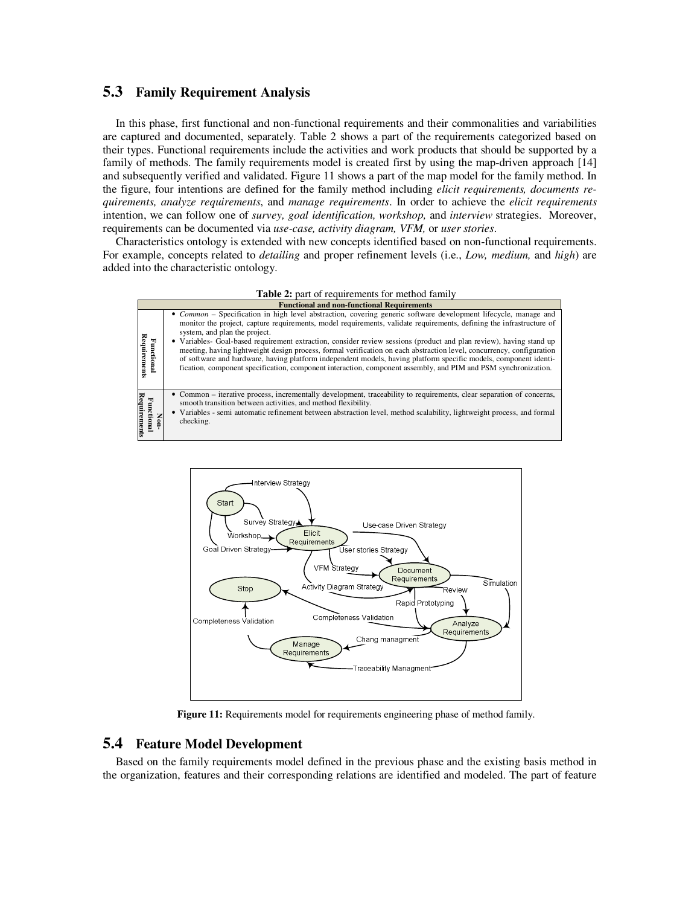### **5.3 Family Requirement Analysis**

In this phase, first functional and non-functional requirements and their commonalities and variabilities are captured and documented, separately. Table 2 shows a part of the requirements categorized based on their types. Functional requirements include the activities and work products that should be supported by a family of methods. The family requirements model is created first by using the map-driven approach [14] and subsequently verified and validated. Figure 11 shows a part of the map model for the family method. In the figure, four intentions are defined for the family method including *elicit requirements, documents requirements, analyze requirements*, and *manage requirements*. In order to achieve the *elicit requirements* intention, we can follow one of *survey, goal identification, workshop,* and *interview* strategies. Moreover, requirements can be documented via *use-case, activity diagram, VFM,* or *user stories*.

Characteristics ontology is extended with new concepts identified based on non-functional requirements. For example, concepts related to *detailing* and proper refinement levels (i.e., *Low, medium,* and *high*) are added into the characteristic ontology.







**Figure 11:** Requirements model for requirements engineering phase of method family.

### **5.4 Feature Model Development**

Based on the family requirements model defined in the previous phase and the existing basis method in the organization, features and their corresponding relations are identified and modeled. The part of feature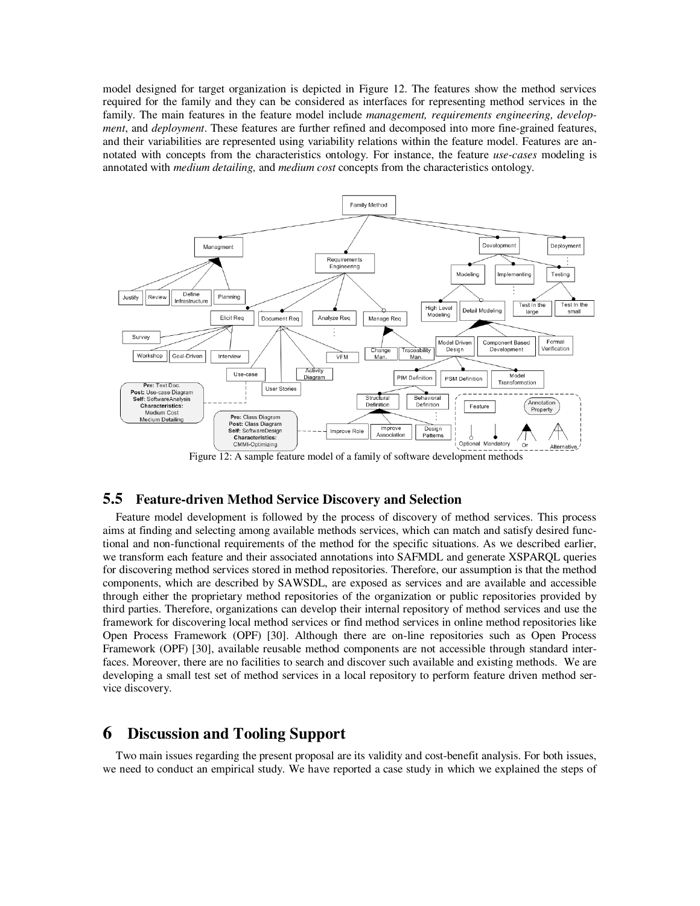model designed for target organization is depicted in Figure 12. The features show the method services required for the family and they can be considered as interfaces for representing method services in the family. The main features in the feature model include *management, requirements engineering, development*, and *deployment*. These features are further refined and decomposed into more fine-grained features, and their variabilities are represented using variability relations within the feature model. Features are annotated with concepts from the characteristics ontology. For instance, the feature *use-cases* modeling is annotated with *medium detailing,* and *medium cost* concepts from the characteristics ontology.



Figure 12: A sample feature model of a family of software development methods

## **5.5 Feature-driven Method Service Discovery and Selection**

Feature model development is followed by the process of discovery of method services. This process aims at finding and selecting among available methods services, which can match and satisfy desired functional and non-functional requirements of the method for the specific situations. As we described earlier, we transform each feature and their associated annotations into SAFMDL and generate XSPARQL queries for discovering method services stored in method repositories. Therefore, our assumption is that the method components, which are described by SAWSDL, are exposed as services and are available and accessible through either the proprietary method repositories of the organization or public repositories provided by third parties. Therefore, organizations can develop their internal repository of method services and use the framework for discovering local method services or find method services in online method repositories like Open Process Framework (OPF) [30]. Although there are on-line repositories such as Open Process Framework (OPF) [30], available reusable method components are not accessible through standard interfaces. Moreover, there are no facilities to search and discover such available and existing methods. We are developing a small test set of method services in a local repository to perform feature driven method service discovery.

## **6 Discussion and Tooling Support**

Two main issues regarding the present proposal are its validity and cost-benefit analysis. For both issues, we need to conduct an empirical study. We have reported a case study in which we explained the steps of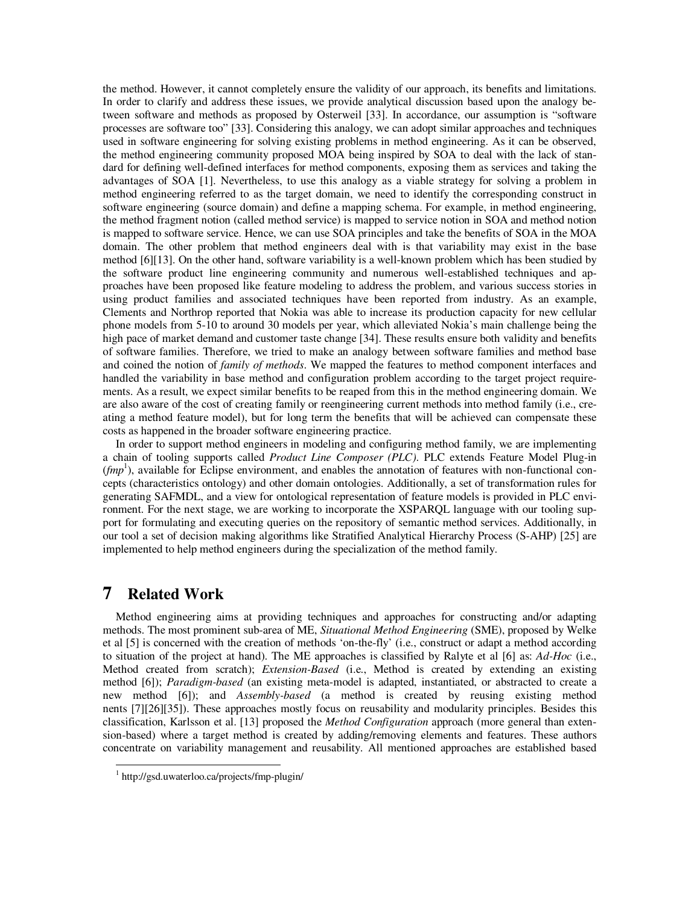the method. However, it cannot completely ensure the validity of our approach, its benefits and limitations. In order to clarify and address these issues, we provide analytical discussion based upon the analogy between software and methods as proposed by Osterweil [33]. In accordance, our assumption is "software processes are software too" [33]. Considering this analogy, we can adopt similar approaches and techniques used in software engineering for solving existing problems in method engineering. As it can be observed, the method engineering community proposed MOA being inspired by SOA to deal with the lack of standard for defining well-defined interfaces for method components, exposing them as services and taking the advantages of SOA [1]. Nevertheless, to use this analogy as a viable strategy for solving a problem in method engineering referred to as the target domain, we need to identify the corresponding construct in software engineering (source domain) and define a mapping schema. For example, in method engineering, the method fragment notion (called method service) is mapped to service notion in SOA and method notion is mapped to software service. Hence, we can use SOA principles and take the benefits of SOA in the MOA domain. The other problem that method engineers deal with is that variability may exist in the base method [6] [13]. On the other hand, software variability is a well-known problem which has been studied by the software product line engineering community and numerous well-established techniques and approaches have been proposed like feature modeling to address the problem, and various success stories in using product families and associated techniques have been reported from industry. As an example, Clements and Northrop reported that Nokia was able to increase its production capacity for new cellular phone models from 5-10 to around 30 models per year, which alleviated Nokia's main challenge being the high pace of market demand and customer taste change [34]. These results ensure both validity and benefits of software families. Therefore, we tried to make an analogy between software families and method base and coined the notion of *family of methods*. We mapped the features to method component interfaces and handled the variability in base method and configuration problem according to the target project requirements. As a result, we expect similar benefits to be reaped from this in the method engineering domain. We are also aware of the cost of creating family or reengineering current methods into method family (i.e., creating a method feature model), but for long term the benefits that will be achieved can compensate these costs as happened in the broader software engineering practice.

In order to support method engineers in modeling and configuring method family, we are implementing a chain of tooling supports called *Product Line Composer (PLC)*. PLC extends Feature Model Plug-in  $(rmp<sup>1</sup>)$ , available for Eclipse environment, and enables the annotation of features with non-functional concepts (characteristics ontology) and other domain ontologies. Additionally, a set of transformation rules for generating SAFMDL, and a view for ontological representation of feature models is provided in PLC environment. For the next stage, we are working to incorporate the XSPARQL language with our tooling support for formulating and executing queries on the repository of semantic method services. Additionally, in our tool a set of decision making algorithms like Stratified Analytical Hierarchy Process (S-AHP) [25] are implemented to help method engineers during the specialization of the method family.

## **7 Related Work**

 $\overline{a}$ 

Method engineering aims at providing techniques and approaches for constructing and/or adapting methods. The most prominent sub-area of ME, *Situational Method Engineering* (SME), proposed by Welke et al [5] is concerned with the creation of methods 'on-the-fly' (i.e., construct or adapt a method according to situation of the project at hand). The ME approaches is classified by Ralyte et al [6] as: *Ad-Hoc* (i.e., Method created from scratch); *Extension-Based* (i.e., Method is created by extending an existing method [6]); *Paradigm-based* (an existing meta-model is adapted, instantiated, or abstracted to create a new method [6]); and *Assembly-based* (a method is created by reusing existing method nents [7] [26] [35]). These approaches mostly focus on reusability and modularity principles. Besides this classification, Karlsson et al. [13] proposed the *Method Configuration* approach (more general than extension-based) where a target method is created by adding/removing elements and features. These authors concentrate on variability management and reusability. All mentioned approaches are established based

<sup>1</sup> http://gsd.uwaterloo.ca/projects/fmp-plugin/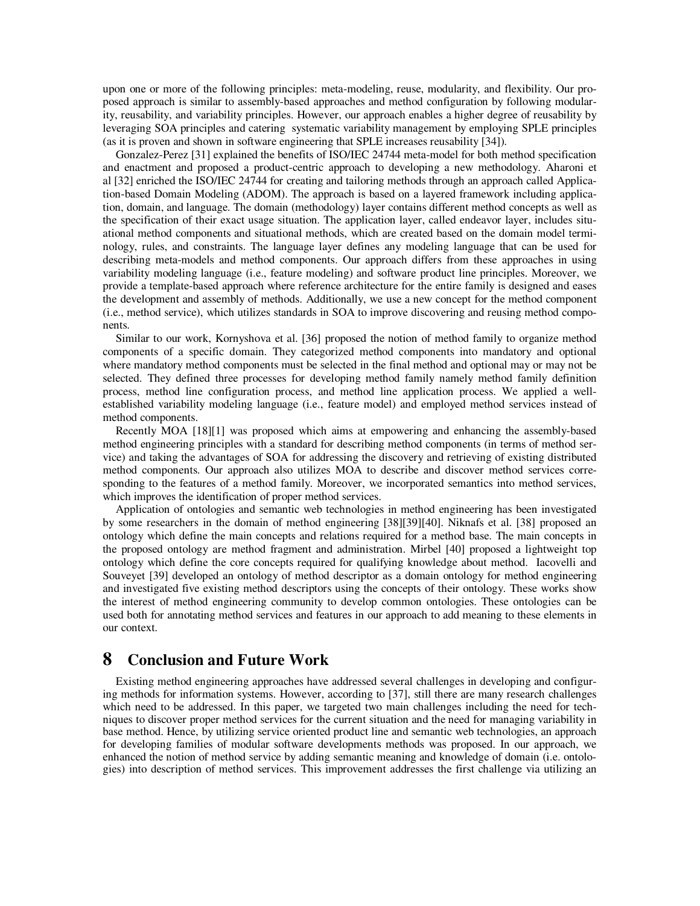upon one or more of the following principles: meta-modeling, reuse, modularity, and flexibility. Our proposed approach is similar to assembly-based approaches and method configuration by following modularity, reusability, and variability principles. However, our approach enables a higher degree of reusability by leveraging SOA principles and catering systematic variability management by employing SPLE principles (as it is proven and shown in software engineering that SPLE increases reusability [34]).

Gonzalez-Perez [31] explained the benefits of ISO/IEC 24744 meta-model for both method specification and enactment and proposed a product-centric approach to developing a new methodology. Aharoni et al [32] enriched the ISO/IEC 24744 for creating and tailoring methods through an approach called Application-based Domain Modeling (ADOM). The approach is based on a layered framework including application, domain, and language. The domain (methodology) layer contains different method concepts as well as the specification of their exact usage situation. The application layer, called endeavor layer, includes situational method components and situational methods, which are created based on the domain model terminology, rules, and constraints. The language layer defines any modeling language that can be used for describing meta-models and method components. Our approach differs from these approaches in using variability modeling language (i.e., feature modeling) and software product line principles. Moreover, we provide a template-based approach where reference architecture for the entire family is designed and eases the development and assembly of methods. Additionally, we use a new concept for the method component (i.e., method service), which utilizes standards in SOA to improve discovering and reusing method components.

Similar to our work, Kornyshova et al. [36] proposed the notion of method family to organize method components of a specific domain. They categorized method components into mandatory and optional where mandatory method components must be selected in the final method and optional may or may not be selected. They defined three processes for developing method family namely method family definition process, method line configuration process, and method line application process. We applied a wellestablished variability modeling language (i.e., feature model) and employed method services instead of method components.

Recently MOA [18][1] was proposed which aims at empowering and enhancing the assembly-based method engineering principles with a standard for describing method components (in terms of method service) and taking the advantages of SOA for addressing the discovery and retrieving of existing distributed method components. Our approach also utilizes MOA to describe and discover method services corresponding to the features of a method family. Moreover, we incorporated semantics into method services, which improves the identification of proper method services.

Application of ontologies and semantic web technologies in method engineering has been investigated by some researchers in the domain of method engineering [38] [39] [40]. Niknafs et al. [38] proposed an ontology which define the main concepts and relations required for a method base. The main concepts in the proposed ontology are method fragment and administration. Mirbel [40] proposed a lightweight top ontology which define the core concepts required for qualifying knowledge about method. Iacovelli and Souveyet [39] developed an ontology of method descriptor as a domain ontology for method engineering and investigated five existing method descriptors using the concepts of their ontology. These works show the interest of method engineering community to develop common ontologies. These ontologies can be used both for annotating method services and features in our approach to add meaning to these elements in our context.

## **8 Conclusion and Future Work**

Existing method engineering approaches have addressed several challenges in developing and configuring methods for information systems. However, according to [37], still there are many research challenges which need to be addressed. In this paper, we targeted two main challenges including the need for techniques to discover proper method services for the current situation and the need for managing variability in base method. Hence, by utilizing service oriented product line and semantic web technologies, an approach for developing families of modular software developments methods was proposed. In our approach, we enhanced the notion of method service by adding semantic meaning and knowledge of domain (i.e. ontologies) into description of method services. This improvement addresses the first challenge via utilizing an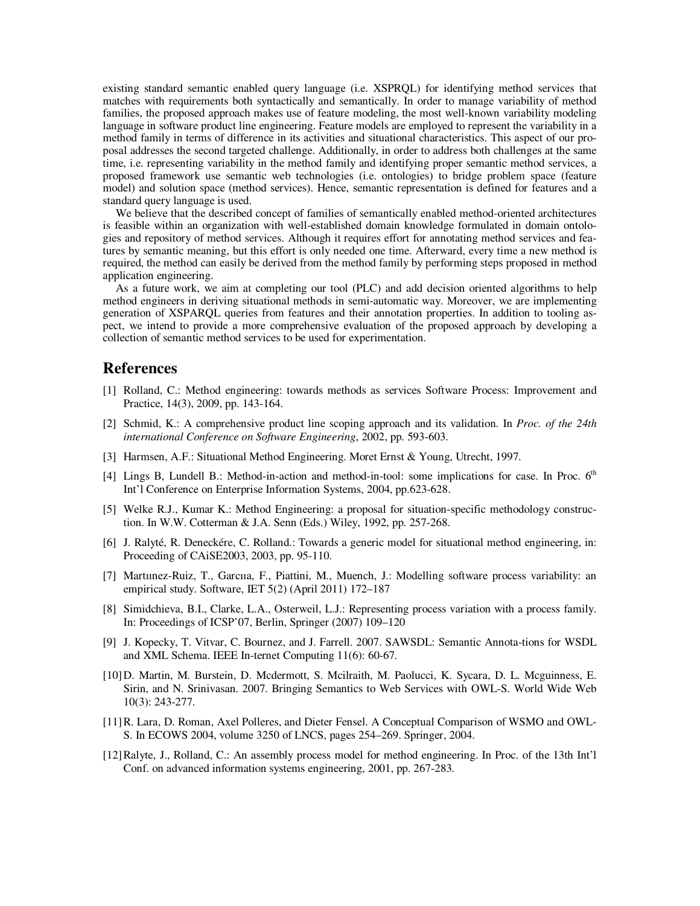existing standard semantic enabled query language (i.e. XSPRQL) for identifying method services that matches with requirements both syntactically and semantically. In order to manage variability of method families, the proposed approach makes use of feature modeling, the most well-known variability modeling language in software product line engineering. Feature models are employed to represent the variability in a method family in terms of difference in its activities and situational characteristics. This aspect of our proposal addresses the second targeted challenge. Additionally, in order to address both challenges at the same time, i.e. representing variability in the method family and identifying proper semantic method services, a proposed framework use semantic web technologies (i.e. ontologies) to bridge problem space (feature model) and solution space (method services). Hence, semantic representation is defined for features and a standard query language is used.

We believe that the described concept of families of semantically enabled method-oriented architectures is feasible within an organization with well-established domain knowledge formulated in domain ontologies and repository of method services. Although it requires effort for annotating method services and features by semantic meaning, but this effort is only needed one time. Afterward, every time a new method is required, the method can easily be derived from the method family by performing steps proposed in method application engineering.

As a future work, we aim at completing our tool (PLC) and add decision oriented algorithms to help method engineers in deriving situational methods in semi-automatic way. Moreover, we are implementing generation of XSPARQL queries from features and their annotation properties. In addition to tooling aspect, we intend to provide a more comprehensive evaluation of the proposed approach by developing a collection of semantic method services to be used for experimentation.

## **References**

- [1] Rolland, C.: Method engineering: towards methods as services Software Process: Improvement and Practice, 14(3), 2009, pp. 143-164.
- [2] Schmid, K.: A comprehensive product line scoping approach and its validation. In *Proc. of the 24th international Conference on Software Engineering*, 2002, pp. 593-603.
- [3] Harmsen, A.F.: Situational Method Engineering. Moret Ernst & Young, Utrecht, 1997.
- [4] Lings B, Lundell B.: Method-in-action and method-in-tool: some implications for case. In Proc. 6<sup>th</sup> Int'l Conference on Enterprise Information Systems, 2004, pp.623-628.
- [5] Welke R.J., Kumar K.: Method Engineering: a proposal for situation-specific methodology construction. In W.W. Cotterman & J.A. Senn (Eds.) Wiley, 1992, pp. 257-268.
- [6] J. Ralyté, R. Deneckére, C. Rolland.: Towards a generic model for situational method engineering, in: Proceeding of CAiSE2003, 2003, pp. 95-110.
- [7] Martıınez-Ruiz, T., Garcııa, F., Piattini, M., Muench, J.: Modelling software process variability: an empirical study. Software, IET 5(2) (April 2011) 172–187
- [8] Simidchieva, B.I., Clarke, L.A., Osterweil, L.J.: Representing process variation with a process family. In: Proceedings of ICSP'07, Berlin, Springer (2007) 109–120
- [9] J. Kopecky, T. Vitvar, C. Bournez, and J. Farrell. 2007. SAWSDL: Semantic Annota-tions for WSDL and XML Schema. IEEE In-ternet Computing 11(6): 60-67.
- [10]D. Martin, M. Burstein, D. Mcdermott, S. Mcilraith, M. Paolucci, K. Sycara, D. L. Mcguinness, E. Sirin, and N. Srinivasan. 2007. Bringing Semantics to Web Services with OWL-S. World Wide Web 10(3): 243-277.
- [11]R. Lara, D. Roman, Axel Polleres, and Dieter Fensel. A Conceptual Comparison of WSMO and OWL-S. In ECOWS 2004, volume 3250 of LNCS, pages 254–269. Springer, 2004.
- [12]Ralyte, J., Rolland, C.: An assembly process model for method engineering. In Proc. of the 13th Int'l Conf. on advanced information systems engineering, 2001, pp. 267-283.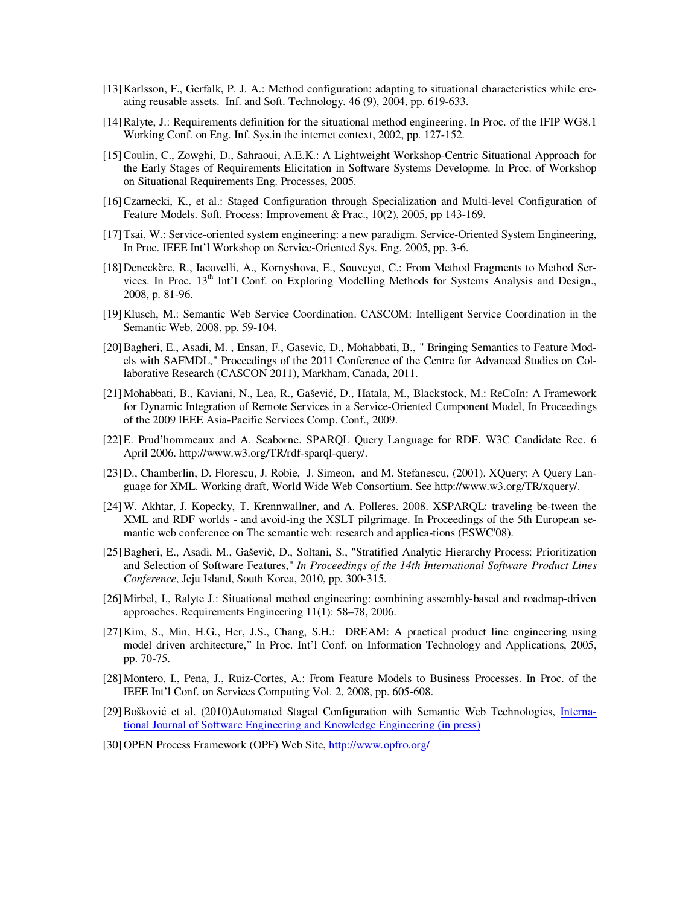- [13]Karlsson, F., Gerfalk, P. J. A.: Method configuration: adapting to situational characteristics while creating reusable assets. Inf. and Soft. Technology. 46 (9), 2004, pp. 619-633.
- [14]Ralyte, J.: Requirements definition for the situational method engineering. In Proc. of the IFIP WG8.1 Working Conf. on Eng. Inf. Sys.in the internet context, 2002, pp. 127-152.
- [15]Coulin, C., Zowghi, D., Sahraoui, A.E.K.: A Lightweight Workshop-Centric Situational Approach for the Early Stages of Requirements Elicitation in Software Systems Developme. In Proc. of Workshop on Situational Requirements Eng. Processes, 2005.
- [16]Czarnecki, K., et al.: Staged Configuration through Specialization and Multi-level Configuration of Feature Models. Soft. Process: Improvement & Prac., 10(2), 2005, pp 143-169.
- [17]Tsai, W.: Service-oriented system engineering: a new paradigm. Service-Oriented System Engineering, In Proc. IEEE Int'l Workshop on Service-Oriented Sys. Eng. 2005, pp. 3-6.
- [18]Deneckère, R., Iacovelli, A., Kornyshova, E., Souveyet, C.: From Method Fragments to Method Services. In Proc. 13<sup>th</sup> Int'l Conf. on Exploring Modelling Methods for Systems Analysis and Design., 2008, p. 81-96.
- [19]Klusch, M.: Semantic Web Service Coordination. CASCOM: Intelligent Service Coordination in the Semantic Web, 2008, pp. 59-104.
- [20]Bagheri, E., Asadi, M. , Ensan, F., Gasevic, D., Mohabbati, B., " Bringing Semantics to Feature Models with SAFMDL," Proceedings of the 2011 Conference of the Centre for Advanced Studies on Collaborative Research (CASCON 2011), Markham, Canada, 2011.
- [21]Mohabbati, B., Kaviani, N., Lea, R., Gašević, D., Hatala, M., Blackstock, M.: ReCoIn: A Framework for Dynamic Integration of Remote Services in a Service-Oriented Component Model, In Proceedings of the 2009 IEEE Asia-Pacific Services Comp. Conf., 2009.
- [22]E. Prud'hommeaux and A. Seaborne. SPARQL Query Language for RDF. W3C Candidate Rec. 6 April 2006. http://www.w3.org/TR/rdf-sparql-query/.
- [23]D., Chamberlin, D. Florescu, J. Robie, J. Simeon, and M. Stefanescu, (2001). XQuery: A Query Language for XML. Working draft, World Wide Web Consortium. See http://www.w3.org/TR/xquery/.
- [24]W. Akhtar, J. Kopecky, T. Krennwallner, and A. Polleres. 2008. XSPARQL: traveling be-tween the XML and RDF worlds - and avoid-ing the XSLT pilgrimage. In Proceedings of the 5th European semantic web conference on The semantic web: research and applica-tions (ESWC'08).
- [25]Bagheri, E., Asadi, M., Gašević, D., Soltani, S., "Stratified Analytic Hierarchy Process: Prioritization and Selection of Software Features," *In Proceedings of the 14th International Software Product Lines Conference*, Jeju Island, South Korea, 2010, pp. 300-315.
- [26]Mirbel, I., Ralyte J.: Situational method engineering: combining assembly-based and roadmap-driven approaches. Requirements Engineering 11(1): 58–78, 2006.
- [27]Kim, S., Min, H.G., Her, J.S., Chang, S.H.: DREAM: A practical product line engineering using model driven architecture," In Proc. Int'l Conf. on Information Technology and Applications, 2005, pp. 70-75.
- [28]Montero, I., Pena, J., Ruiz-Cortes, A.: From Feature Models to Business Processes. In Proc. of the IEEE Int'l Conf. on Services Computing Vol. 2, 2008, pp. 605-608.
- [29] Bošković et al. (2010)Automated Staged Configuration with Semantic Web Technologies, International Journal of Software Engineering and Knowledge Engineering (in press)
- [30]OPEN Process Framework (OPF) Web Site, http://www.opfro.org/